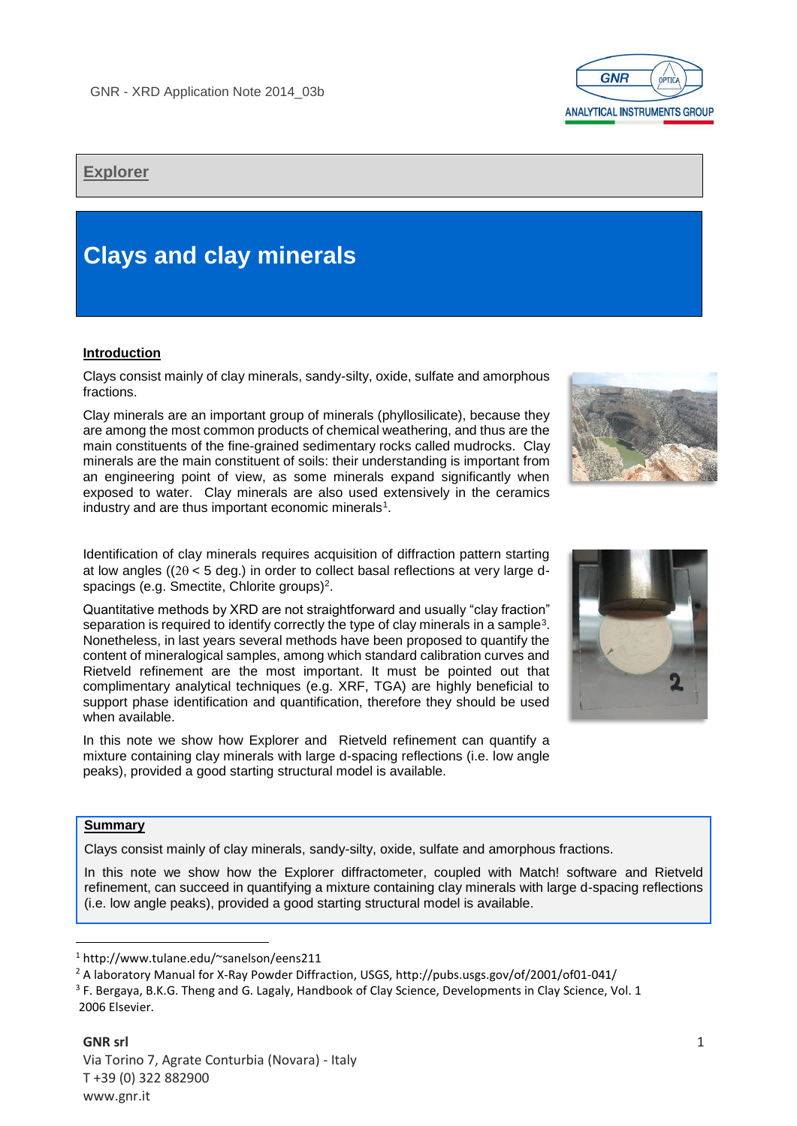

## **Explorer**

# **Clays and clay minerals**

## **Introduction**

Clays consist mainly of clay minerals, sandy-silty, oxide, sulfate and amorphous fractions.

Clay minerals are an important group of minerals (phyllosilicate), because they are among the most common products of chemical weathering, and thus are the main constituents of the fine-grained sedimentary rocks called mudrocks. Clay minerals are the main constituent of soils: their understanding is important from an engineering point of view, as some minerals expand significantly when exposed to water. Clay minerals are also used extensively in the ceramics industry and are thus important economic minerals<sup>1</sup>.

Identification of clay minerals requires acquisition of diffraction pattern starting at low angles (( $2\theta$  < 5 deg.) in order to collect basal reflections at very large dspacings (e.g. Smectite, Chlorite groups)<sup>2</sup>.

Quantitative methods by XRD are not straightforward and usually "clay fraction" separation is required to identify correctly the type of clay minerals in a sample<sup>3</sup>. Nonetheless, in last years several methods have been proposed to quantify the content of mineralogical samples, among which standard calibration curves and Rietveld refinement are the most important. It must be pointed out that complimentary analytical techniques (e.g. XRF, TGA) are highly beneficial to support phase identification and quantification, therefore they should be used when available.

In this note we show how Explorer and Rietveld refinement can quantify a mixture containing clay minerals with large d-spacing reflections (i.e. low angle peaks), provided a good starting structural model is available.

## **Summary**

**.** 

Clays consist mainly of clay minerals, sandy-silty, oxide, sulfate and amorphous fractions.

In this note we show how the Explorer diffractometer, coupled with Match! software and Rietveld refinement, can succeed in quantifying a mixture containing clay minerals with large d-spacing reflections (i.e. low angle peaks), provided a good starting structural model is available.

<sup>1</sup> http://www.tulane.edu/~sanelson/eens211

<sup>3</sup> F. Bergaya, B.K.G. Theng and G. Lagaly, Handbook of Clay Science, Developments in Clay Science, Vol. 1







<sup>&</sup>lt;sup>2</sup> A laboratory Manual for X-Ray Powder Diffraction, USGS, http://pubs.usgs.gov/of/2001/of01-041/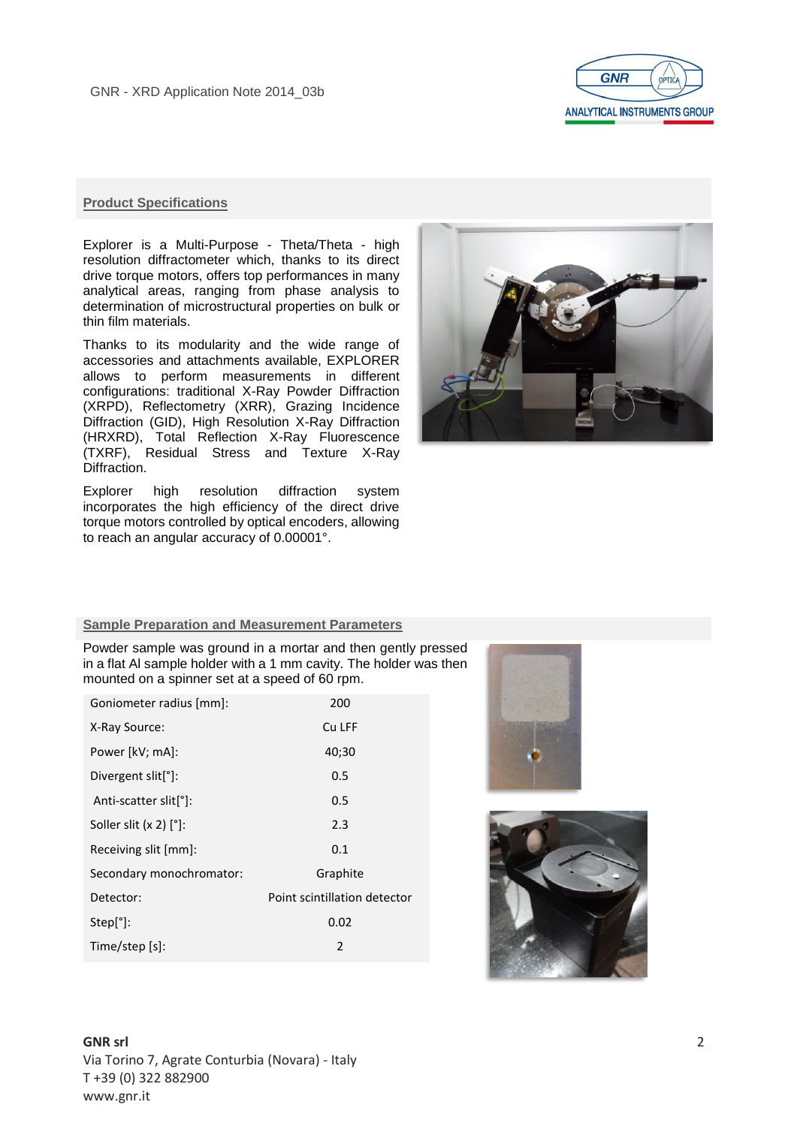

#### **Product Specifications**

Explorer is a Multi-Purpose - Theta/Theta - high resolution diffractometer which, thanks to its direct drive torque motors, offers top performances in many analytical areas, ranging from phase analysis to determination of microstructural properties on bulk or thin film materials.

Thanks to its modularity and the wide range of accessories and attachments available, EXPLORER allows to perform measurements in different configurations: traditional X-Ray Powder Diffraction (XRPD), Reflectometry (XRR), Grazing Incidence Diffraction (GID), High Resolution X-Ray Diffraction (HRXRD), Total Reflection X-Ray Fluorescence (TXRF), Residual Stress and Texture X-Ray Diffraction.

Explorer high resolution diffraction system incorporates the high efficiency of the direct drive torque motors controlled by optical encoders, allowing to reach an angular accuracy of 0.00001°.



#### **Sample Preparation and Measurement Parameters**

Powder sample was ground in a mortar and then gently pressed in a flat Al sample holder with a 1 mm cavity. The holder was then mounted on a spinner set at a speed of 60 rpm.

| Goniometer radius [mm]:         | 200                          |  |
|---------------------------------|------------------------------|--|
| X-Ray Source:                   | Cu LFF                       |  |
| Power [kV; mA]:                 | 40;30                        |  |
| Divergent slit <sup>[°</sup> ]: | 0.5                          |  |
| Anti-scatter slit[°]:           | 0.5                          |  |
| Soller slit $(x 2)$ $[°]$ :     | 2.3                          |  |
| 0.1<br>Receiving slit [mm]:     |                              |  |
| Secondary monochromator:        | Graphite                     |  |
| Detector:                       | Point scintillation detector |  |
| Step[°]:                        | 0.02                         |  |
| Time/step [s]:                  | 2                            |  |
|                                 |                              |  |



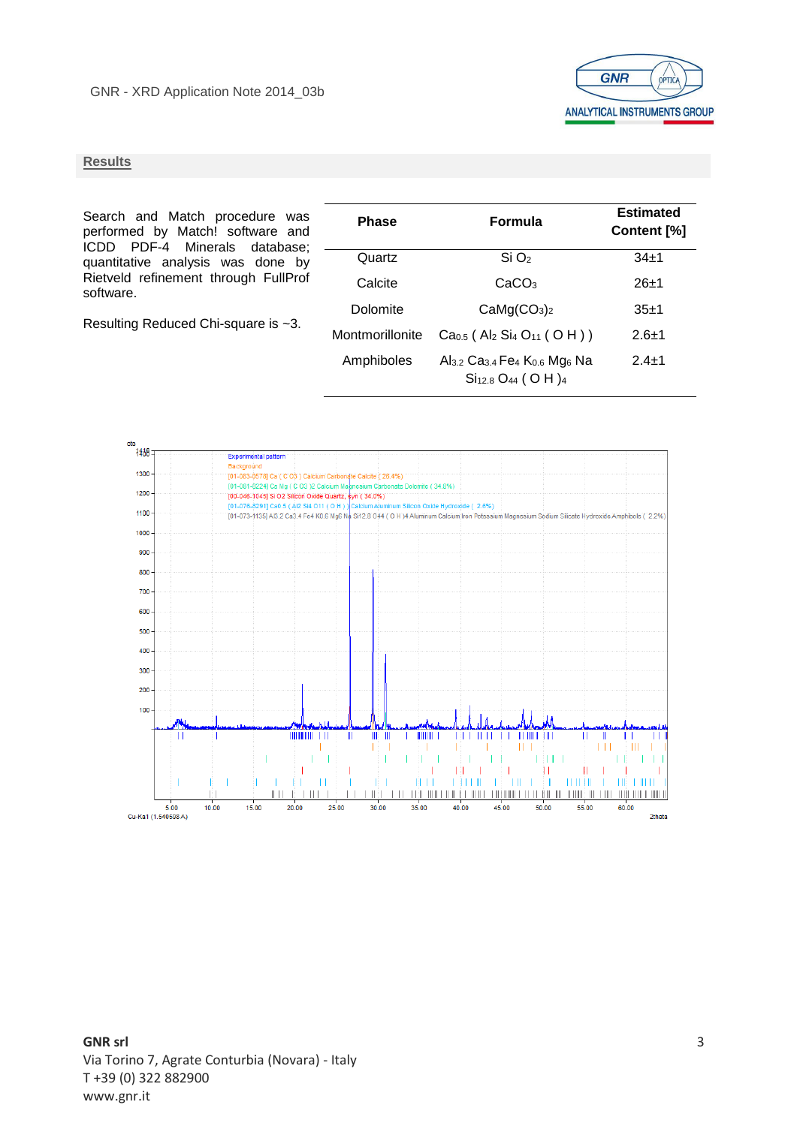

#### **Results**

Search and Match procedure was performed by Match! software and ICDD PDF-4 Minerals database; quantitative analysis was done by Rietveld refinement through FullProf software.

Resulting Reduced Chi-square is ~3.

| <b>Phase</b>    | <b>Formula</b>                                                                                                               | <b>Estimated</b><br>Content [%] |
|-----------------|------------------------------------------------------------------------------------------------------------------------------|---------------------------------|
| Quartz          | $Si$ $O2$                                                                                                                    | $34+1$                          |
| Calcite         | CaCO <sub>3</sub>                                                                                                            | $26+1$                          |
| Dolomite        | CaMg(CO <sub>3</sub> ) <sub>2</sub>                                                                                          | $35+1$                          |
| Montmorillonite | $Ca0.5$ (Al <sub>2</sub> Si <sub>4</sub> O <sub>11</sub> (OH))                                                               | $2.6 + 1$                       |
| Amphiboles      | Al <sub>3.2</sub> Ca <sub>3.4</sub> Fe <sub>4</sub> K <sub>0.6</sub> Mg <sub>6</sub> Na<br>$Si12.8 O44$ ( O H ) <sub>4</sub> | $24+1$                          |